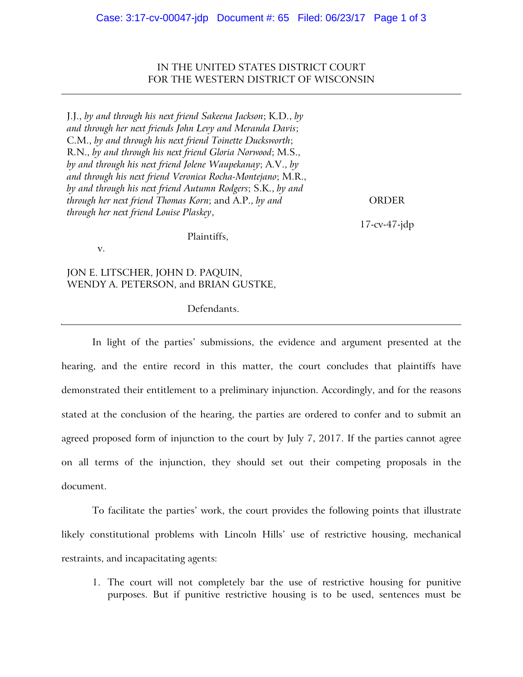IN THE UNITED STATES DISTRICT COURT FOR THE WESTERN DISTRICT OF WISCONSIN

J.J., *by and through his next friend Sakeena Jackson*; K.D., *by and through her next friends John Levy and Meranda Davis*; C.M., *by and through his next friend Toinette Ducksworth*; R.N., *by and through his next friend Gloria Norwood*; M.S., *by and through his next friend Jolene Waupekanay*; A.V., *by and through his next friend Veronica Rocha-Montejano*; M.R., *by and through his next friend Autumn Rodgers*; S.K., *by and through her next friend Thomas Korn*; and A.P., *by and through her next friend Louise Plaskey*,

Plaintiffs,

ORDER

17-cv-47-jdp

v.

JON E. LITSCHER, JOHN D. PAQUIN, WENDY A. PETERSON, and BRIAN GUSTKE,

## Defendants.

In light of the parties' submissions, the evidence and argument presented at the hearing, and the entire record in this matter, the court concludes that plaintiffs have demonstrated their entitlement to a preliminary injunction. Accordingly, and for the reasons stated at the conclusion of the hearing, the parties are ordered to confer and to submit an agreed proposed form of injunction to the court by July 7, 2017. If the parties cannot agree on all terms of the injunction, they should set out their competing proposals in the document.

To facilitate the parties' work, the court provides the following points that illustrate likely constitutional problems with Lincoln Hills' use of restrictive housing, mechanical restraints, and incapacitating agents:

1. The court will not completely bar the use of restrictive housing for punitive purposes. But if punitive restrictive housing is to be used, sentences must be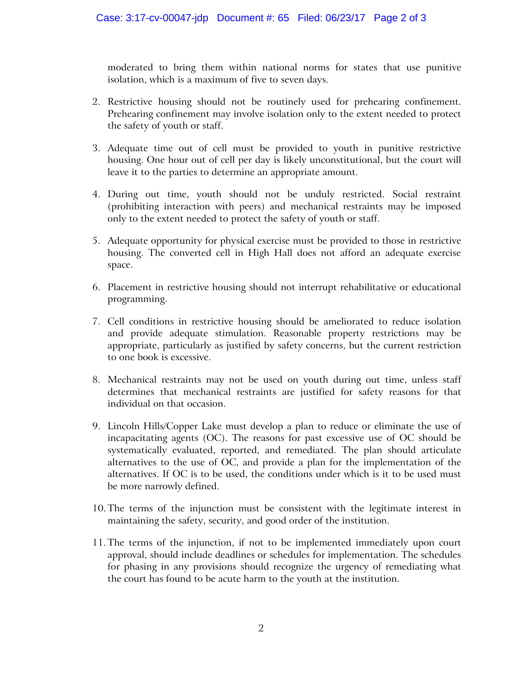moderated to bring them within national norms for states that use punitive isolation, which is a maximum of five to seven days.

- 2. Restrictive housing should not be routinely used for prehearing confinement. Prehearing confinement may involve isolation only to the extent needed to protect the safety of youth or staff.
- 3. Adequate time out of cell must be provided to youth in punitive restrictive housing. One hour out of cell per day is likely unconstitutional, but the court will leave it to the parties to determine an appropriate amount.
- 4. During out time, youth should not be unduly restricted. Social restraint (prohibiting interaction with peers) and mechanical restraints may be imposed only to the extent needed to protect the safety of youth or staff.
- 5. Adequate opportunity for physical exercise must be provided to those in restrictive housing. The converted cell in High Hall does not afford an adequate exercise space.
- 6. Placement in restrictive housing should not interrupt rehabilitative or educational programming.
- 7. Cell conditions in restrictive housing should be ameliorated to reduce isolation and provide adequate stimulation. Reasonable property restrictions may be appropriate, particularly as justified by safety concerns, but the current restriction to one book is excessive.
- 8. Mechanical restraints may not be used on youth during out time, unless staff determines that mechanical restraints are justified for safety reasons for that individual on that occasion.
- 9. Lincoln Hills/Copper Lake must develop a plan to reduce or eliminate the use of incapacitating agents (OC). The reasons for past excessive use of OC should be systematically evaluated, reported, and remediated. The plan should articulate alternatives to the use of OC, and provide a plan for the implementation of the alternatives. If OC is to be used, the conditions under which is it to be used must be more narrowly defined.
- 10. The terms of the injunction must be consistent with the legitimate interest in maintaining the safety, security, and good order of the institution.
- 11. The terms of the injunction, if not to be implemented immediately upon court approval, should include deadlines or schedules for implementation. The schedules for phasing in any provisions should recognize the urgency of remediating what the court has found to be acute harm to the youth at the institution.